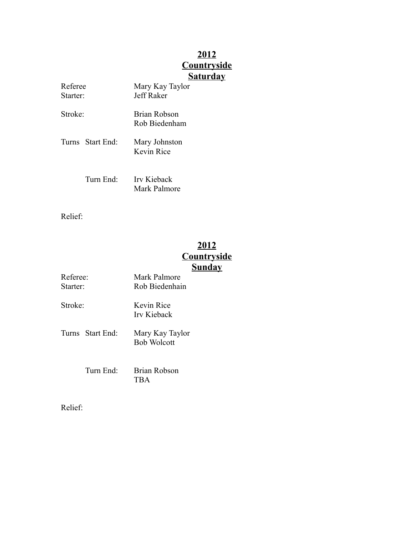## **2012 Countryside Saturday**

| Referee<br>Starter: |                       | Mary Kay Taylor<br>Jeff Raker        |  |
|---------------------|-----------------------|--------------------------------------|--|
| Stroke <sup>-</sup> |                       | <b>Brian Robson</b><br>Rob Biedenham |  |
|                     | Turns Start End:      | Mary Johnston<br>Kevin Rice          |  |
|                     | Turn End <sup>1</sup> | Irv Kieback<br>Mark Palmore          |  |

Relief:

## **2012 Countryside Sunday**

| Referee:<br>Starter <sup>.</sup> |                                | Mark Palmore<br>Rob Biedenhain        |  |
|----------------------------------|--------------------------------|---------------------------------------|--|
| Stroke <sup>.</sup>              |                                | Kevin Rice<br>Irv Kieback             |  |
|                                  | Turns – Start End <sup>.</sup> | Mary Kay Taylor<br><b>Bob Wolcott</b> |  |
|                                  | Turn $End+$                    | Brian Robson<br>TBA                   |  |

Relief: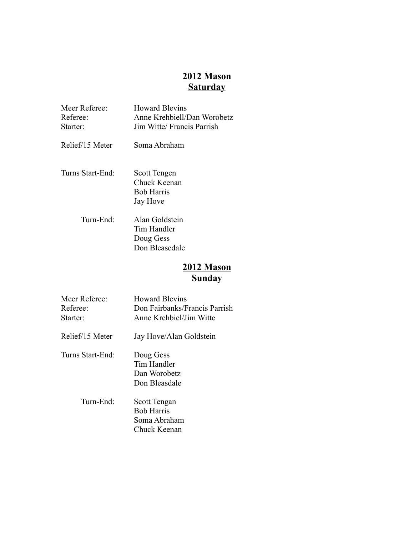## **2012 Mason Saturday**

| Meer Referee:<br>Referee:<br>Starter: | <b>Howard Blevins</b><br>Anne Krehbiell/Dan Worobetz<br>Jim Witte/ Francis Parrish |
|---------------------------------------|------------------------------------------------------------------------------------|
| Relief/15 Meter                       | Soma Abraham                                                                       |
| Turns Start-End:                      | Scott Tengen<br>Chuck Keenan<br><b>Bob Harris</b><br>Jay Hove                      |
| Turn-End:                             | Alan Goldstein<br>Tim Handler<br>Doug Gess                                         |

Don Bleasedale

## **2012 Mason Sunday**

| Meer Referee:<br>Referee:<br>Starter: | <b>Howard Blevins</b><br>Don Fairbanks/Francis Parrish<br>Anne Krehbiel/Jim Witte |
|---------------------------------------|-----------------------------------------------------------------------------------|
| Relief/15 Meter                       | Jay Hove/Alan Goldstein                                                           |
| Turns Start-End:                      | Doug Gess<br>Tim Handler<br>Dan Worobetz<br>Don Bleasdale                         |
| Turn-End:                             | Scott Tengan<br><b>Bob Harris</b><br>Soma Abraham<br>Chuck Keenan                 |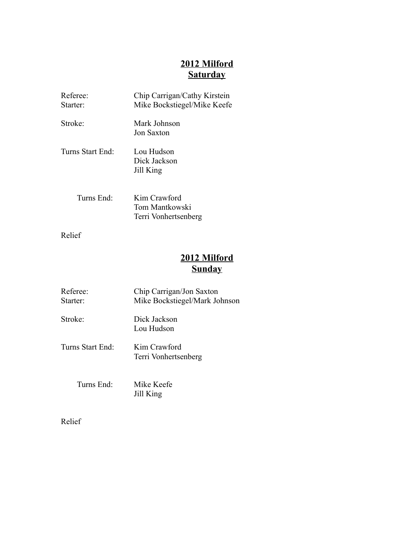## **2012 Milford Saturday**

| Referee:<br>Starter:         | Chip Carrigan/Cathy Kirstein<br>Mike Bockstiegel/Mike Keefe |
|------------------------------|-------------------------------------------------------------|
| Stroke <sup>-</sup>          | Mark Johnson<br>Jon Saxton                                  |
| Turns Start End <sup>.</sup> | Lou Hudson<br>Dick Jackson<br>Jill King                     |
| Turns End <sup>-</sup>       | Kim Crawford<br>Tom Mantkowski<br>Terri Vonhertsenberg      |

Relief

# **2012 Milford Sunday**

| Referee:<br>Starter:         | Chip Carrigan/Jon Saxton<br>Mike Bockstiegel/Mark Johnson |
|------------------------------|-----------------------------------------------------------|
| Stroke <sup>-</sup>          | Dick Jackson<br>Lou Hudson                                |
| Turns Start End <sup>1</sup> | Kim Crawford<br>Terri Vonhertsenberg                      |
| Turns End <sup>-</sup>       | Mike Keefe<br>Jill King                                   |

Relief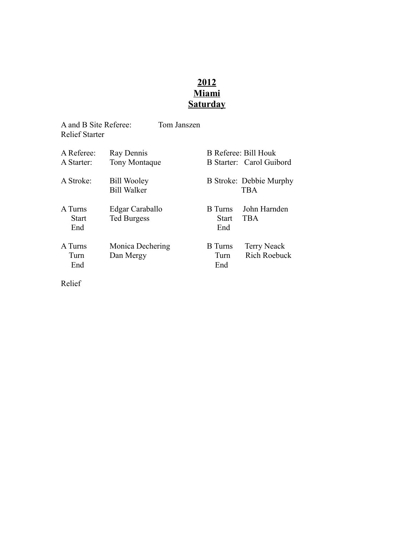## **2012 Miami Saturday**

| A and B Site Referee:<br><b>Relief Starter</b> | Tom Janszen                              |                                |                                                  |
|------------------------------------------------|------------------------------------------|--------------------------------|--------------------------------------------------|
| A Referee:<br>A Starter:                       | Ray Dennis<br><b>Tony Montaque</b>       |                                | B Referee: Bill Houk<br>B Starter: Carol Guibord |
| A Stroke:                                      | <b>Bill Wooley</b><br><b>Bill Walker</b> |                                | B Stroke: Debbie Murphy<br><b>TBA</b>            |
| A Turns<br><b>Start</b><br>End                 | Edgar Caraballo<br><b>Ted Burgess</b>    | <b>B</b> Turns<br>Start<br>End | John Harnden<br><b>TBA</b>                       |
| A Turns<br>Turn<br>End                         | Monica Dechering<br>Dan Mergy            | <b>B</b> Turns<br>Turn<br>End  | <b>Terry Neack</b><br><b>Rich Roebuck</b>        |

Relief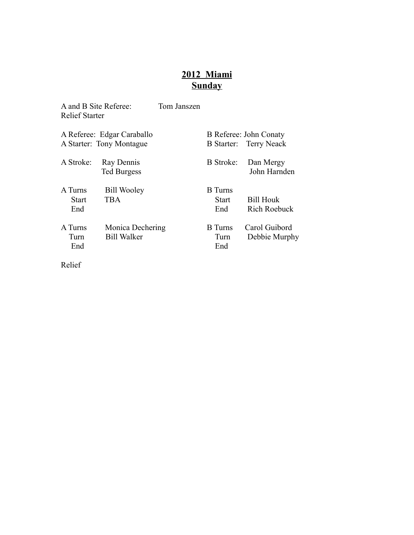# **2012 Miami Sunday**

| A and B Site Referee:<br><b>Relief Starter</b>         | Tom Janszen |                                       |                                                  |
|--------------------------------------------------------|-------------|---------------------------------------|--------------------------------------------------|
| A Referee: Edgar Caraballo<br>A Starter: Tony Montague |             |                                       | B Referee: John Conaty<br>B Starter: Terry Neack |
| Ray Dennis<br><b>Ted Burgess</b>                       |             | <b>B</b> Stroke:                      | Dan Mergy<br>John Harnden                        |
| <b>Bill Wooley</b><br><b>TBA</b>                       |             | <b>B</b> Turns<br><b>Start</b><br>End | <b>Bill Houk</b><br><b>Rich Roebuck</b>          |
| <b>Bill Walker</b>                                     |             | <b>B</b> Turns<br>Turn<br>End         | Carol Guibord<br>Debbie Murphy                   |
|                                                        |             | Monica Dechering                      |                                                  |

Relief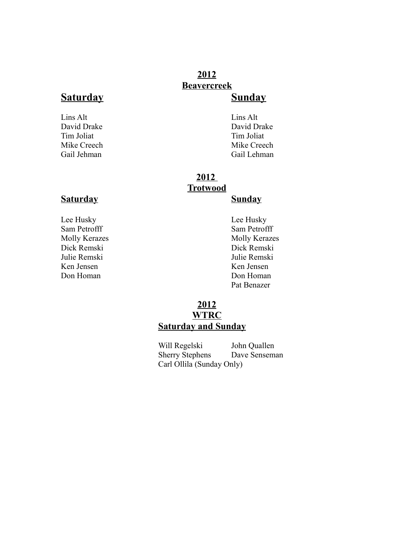## **2012 Beavercreek**

## **Saturday Sunday**

Lins Alt Lins Alt Tim Joliat

David Drake David Drake David Drake David Drake David Drake David Drake David Drake David Drake David Drake David Drake David Drake David Drake David Drake David Drake David Drake David Drake David Drake David Drake David Mike Creech Mike Creech Gail Jehman Gail Lehman

## **2012 Trotwood**

## **Saturday Sunday**

Lee Husky Lee Husky Sam Petrofff Sam Petrofff Molly Kerazes Molly Kerazes Dick Remski Dick Remski Julie Remski Julie Remski Ken Jensen Ken Jensen Don Homan Don Homan

Pat Benazer

## **2012 WTRC Saturday and Sunday**

Will Regelski John Quallen Sherry Stephens Dave Senseman Carl Ollila (Sunday Only)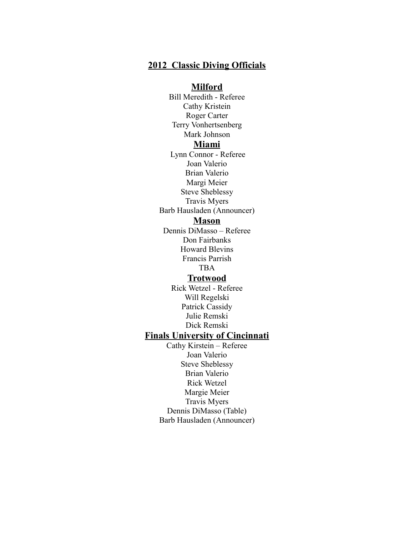#### **2012 Classic Diving Officials**

#### **Milford**

Bill Meredith - Referee Cathy Kristein Roger Carter Terry Vonhertsenberg Mark Johnson **Miami** Lynn Connor - Referee Joan Valerio Brian Valerio Margi Meier Steve Sheblessy Travis Myers Barb Hausladen (Announcer)

#### **Mason**

Dennis DiMasso – Referee Don Fairbanks Howard Blevins Francis Parrish TBA

## **Trotwood**

Rick Wetzel - Referee Will Regelski Patrick Cassidy Julie Remski Dick Remski

### **Finals University of Cincinnati**

Cathy Kirstein – Referee Joan Valerio Steve Sheblessy Brian Valerio Rick Wetzel Margie Meier Travis Myers Dennis DiMasso (Table) Barb Hausladen (Announcer)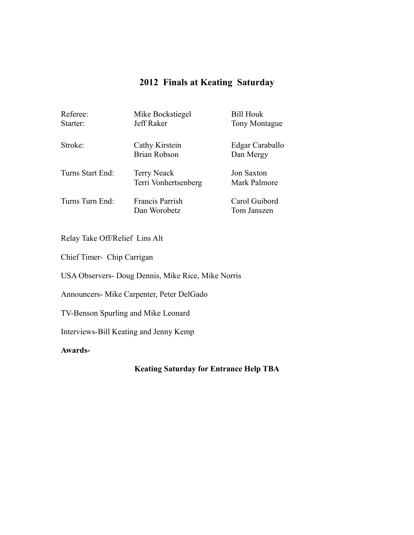## **2012 Finals at Keating Saturday**

| Referee:<br>Starter: | Mike Bockstiegel<br>Jeff Raker             | <b>Bill Houk</b><br>Tony Montague |
|----------------------|--------------------------------------------|-----------------------------------|
| Stroke:              | Cathy Kirstein<br><b>Brian Robson</b>      | Edgar Caraballo<br>Dan Mergy      |
| Turns Start End:     | <b>Terry Neack</b><br>Terri Vonhertsenberg | <b>Jon Saxton</b><br>Mark Palmore |
| Turns Turn End:      | Francis Parrish<br>Dan Worobetz            | Carol Guibord<br>Tom Janszen      |

Relay Take Off/Relief Lins Alt

Chief Timer- Chip Carrigan

USA Observers- Doug Dennis, Mike Rice, Mike Norris

Announcers- Mike Carpenter, Peter DelGado

TV-Benson Spurling and Mike Leonard

Interviews-Bill Keating and Jenny Kemp

**Awards-**

**Keating Saturday for Entrance Help TBA**